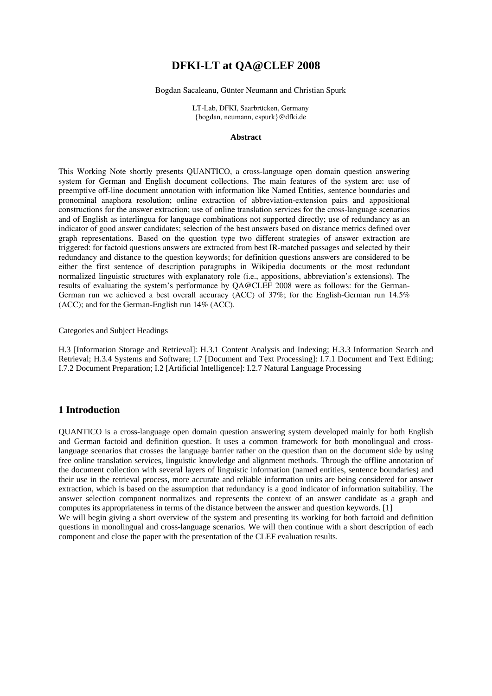# **DFKI-LT at QA@CLEF 2008**

#### Bogdan Sacaleanu, Günter Neumann and Christian Spurk

LT-Lab, DFKI, Saarbrücken, Germany {bogdan, neumann, cspurk}@dfki.de

#### **Abstract**

This Working Note shortly presents QUANTICO, a cross-language open domain question answering system for German and English document collections. The main features of the system are: use of preemptive off-line document annotation with information like Named Entities, sentence boundaries and pronominal anaphora resolution; online extraction of abbreviation-extension pairs and appositional constructions for the answer extraction; use of online translation services for the cross-language scenarios and of English as interlingua for language combinations not supported directly; use of redundancy as an indicator of good answer candidates; selection of the best answers based on distance metrics defined over graph representations. Based on the question type two different strategies of answer extraction are triggered: for factoid questions answers are extracted from best IR-matched passages and selected by their redundancy and distance to the question keywords; for definition questions answers are considered to be either the first sentence of description paragraphs in Wikipedia documents or the most redundant normalized linguistic structures with explanatory role (i.e., appositions, abbreviation's extensions). The results of evaluating the system's performance by QA@CLEF 2008 were as follows: for the German-German run we achieved a best overall accuracy (ACC) of 37%; for the English-German run 14.5% (ACC); and for the German-English run 14% (ACC).

### Categories and Subject Headings

H.3 [Information Storage and Retrieval]: H.3.1 Content Analysis and Indexing; H.3.3 Information Search and Retrieval; H.3.4 Systems and Software; I.7 [Document and Text Processing]: I.7.1 Document and Text Editing; I.7.2 Document Preparation; I.2 [Artificial Intelligence]: I.2.7 Natural Language Processing

#### **1 Introduction**

QUANTICO is a cross-language open domain question answering system developed mainly for both English and German factoid and definition question. It uses a common framework for both monolingual and crosslanguage scenarios that crosses the language barrier rather on the question than on the document side by using free online translation services, linguistic knowledge and alignment methods. Through the offline annotation of the document collection with several layers of linguistic information (named entities, sentence boundaries) and their use in the retrieval process, more accurate and reliable information units are being considered for answer extraction, which is based on the assumption that redundancy is a good indicator of information suitability. The answer selection component normalizes and represents the context of an answer candidate as a graph and computes its appropriateness in terms of the distance between the answer and question keywords. [1] We will begin giving a short overview of the system and presenting its working for both factoid and definition questions in monolingual and cross-language scenarios. We will then continue with a short description of each

component and close the paper with the presentation of the CLEF evaluation results.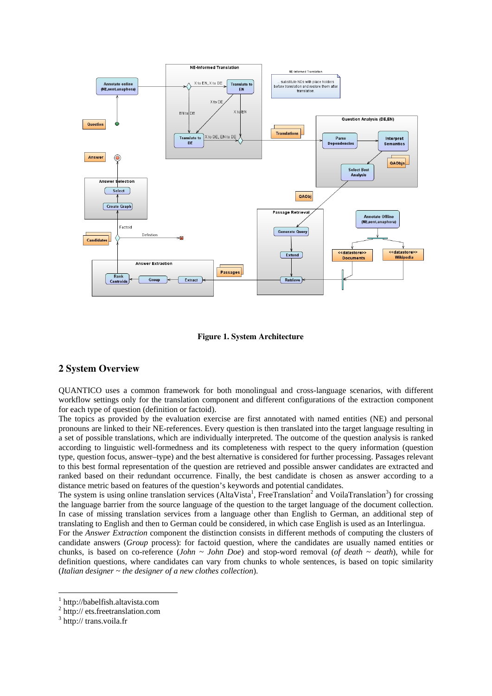

**Figure 1. System Architecture** 

## **2 System Overview**

QUANTICO uses a common framework for both monolingual and cross-language scenarios, with different workflow settings only for the translation component and different configurations of the extraction component for each type of question (definition or factoid).

The topics as provided by the evaluation exercise are first annotated with named entities (NE) and personal pronouns are linked to their NE-references. Every question is then translated into the target language resulting in a set of possible translations, which are individually interpreted. The outcome of the question analysis is ranked according to linguistic well-formedness and its completeness with respect to the query information (question type, question focus, answer–type) and the best alternative is considered for further processing. Passages relevant to this best formal representation of the question are retrieved and possible answer candidates are extracted and ranked based on their redundant occurrence. Finally, the best candidate is chosen as answer according to a distance metric based on features of the question's keywords and potential candidates.

The system is using online translation services (AltaVista<sup>1</sup>, FreeTranslation<sup>2</sup> and VoilaTranslation<sup>3</sup>) for crossing the language barrier from the source language of the question to the target language of the document collection. In case of missing translation services from a language other than English to German, an additional step of translating to English and then to German could be considered, in which case English is used as an Interlingua.

For the *Answer Extraction* component the distinction consists in different methods of computing the clusters of candidate answers (*Group* process): for factoid question, where the candidates are usually named entities or chunks, is based on co-reference (*John* ~ *John Doe*) and stop-word removal (*of death* ~ *death*), while for definition questions, where candidates can vary from chunks to whole sentences, is based on topic similarity (*Italian designer* ~ *the designer of a new clothes collection*).

<u>.</u>

<sup>1</sup> http://babelfish.altavista.com

<sup>2</sup> http:// ets.freetranslation.com

<sup>&</sup>lt;sup>3</sup> http:// trans.voila.fr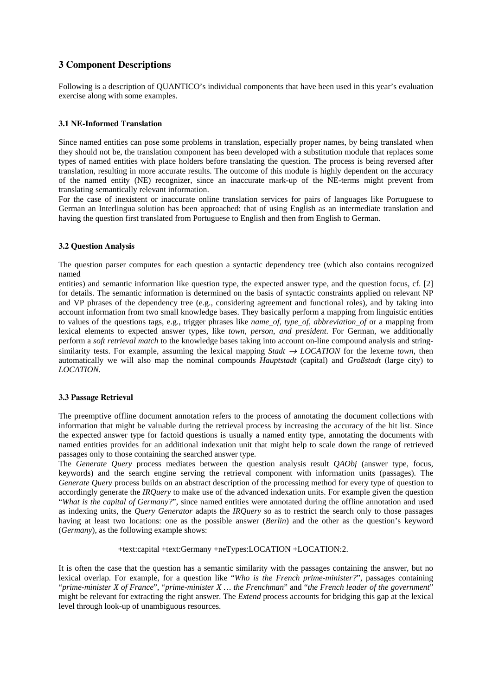# **3 Component Descriptions**

Following is a description of QUANTICO's individual components that have been used in this year's evaluation exercise along with some examples.

## **3.1 NE-Informed Translation**

Since named entities can pose some problems in translation, especially proper names, by being translated when they should not be, the translation component has been developed with a substitution module that replaces some types of named entities with place holders before translating the question. The process is being reversed after translation, resulting in more accurate results. The outcome of this module is highly dependent on the accuracy of the named entity (NE) recognizer, since an inaccurate mark-up of the NE-terms might prevent from translating semantically relevant information.

For the case of inexistent or inaccurate online translation services for pairs of languages like Portuguese to German an Interlingua solution has been approached: that of using English as an intermediate translation and having the question first translated from Portuguese to English and then from English to German.

## **3.2 Question Analysis**

The question parser computes for each question a syntactic dependency tree (which also contains recognized named

entities) and semantic information like question type, the expected answer type, and the question focus, cf. [2] for details. The semantic information is determined on the basis of syntactic constraints applied on relevant NP and VP phrases of the dependency tree (e.g., considering agreement and functional roles), and by taking into account information from two small knowledge bases. They basically perform a mapping from linguistic entities to values of the questions tags, e.g., trigger phrases like *name\_of*, *type\_of*, *abbreviation\_of* or a mapping from lexical elements to expected answer types, like *town*, *person*, *and president*. For German, we additionally perform a *soft retrieval match* to the knowledge bases taking into account on-line compound analysis and stringsimilarity tests. For example, assuming the lexical mapping *Stadt*  $\rightarrow$  *LOCATION* for the lexeme *town*, then automatically we will also map the nominal compounds *Hauptstadt* (capital) and *Großstadt* (large city) to *LOCATION*.

## **3.3 Passage Retrieval**

The preemptive offline document annotation refers to the process of annotating the document collections with information that might be valuable during the retrieval process by increasing the accuracy of the hit list. Since the expected answer type for factoid questions is usually a named entity type, annotating the documents with named entities provides for an additional indexation unit that might help to scale down the range of retrieved passages only to those containing the searched answer type.

The *Generate Query* process mediates between the question analysis result *QAObj* (answer type, focus, keywords) and the search engine serving the retrieval component with information units (passages). The *Generate Query* process builds on an abstract description of the processing method for every type of question to accordingly generate the *IRQuery* to make use of the advanced indexation units. For example given the question "*What is the capital of Germany?*", since named entities were annotated during the offline annotation and used as indexing units, the *Query Generator* adapts the *IRQuery* so as to restrict the search only to those passages having at least two locations: one as the possible answer (*Berlin*) and the other as the question's keyword (*Germany*), as the following example shows:

+text:capital +text:Germany +neTypes:LOCATION +LOCATION:2.

It is often the case that the question has a semantic similarity with the passages containing the answer, but no lexical overlap. For example, for a question like "*Who is the French prime-minister?*", passages containing "*prime-minister X of France*", "*prime-minister X … the Frenchman*" and "*the French leader of the government*" might be relevant for extracting the right answer. The *Extend* process accounts for bridging this gap at the lexical level through look-up of unambiguous resources.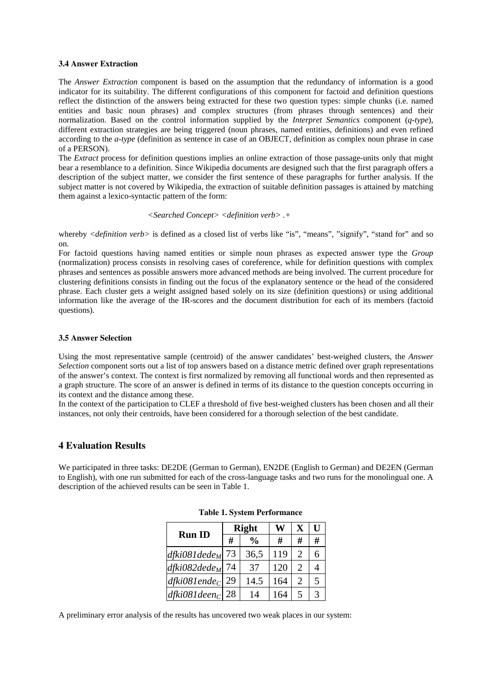### **3.4 Answer Extraction**

The *Answer Extraction* component is based on the assumption that the redundancy of information is a good indicator for its suitability. The different configurations of this component for factoid and definition questions reflect the distinction of the answers being extracted for these two question types: simple chunks (i.e. named entities and basic noun phrases) and complex structures (from phrases through sentences) and their normalization. Based on the control information supplied by the *Interpret Semantics* component (*q-type*), different extraction strategies are being triggered (noun phrases, named entities, definitions) and even refined according to the *a-type* (definition as sentence in case of an OBJECT, definition as complex noun phrase in case of a PERSON).

The *Extract* process for definition questions implies an online extraction of those passage-units only that might bear a resemblance to a definition. Since Wikipedia documents are designed such that the first paragraph offers a description of the subject matter, we consider the first sentence of these paragraphs for further analysis. If the subject matter is not covered by Wikipedia, the extraction of suitable definition passages is attained by matching them against a lexico-syntactic pattern of the form:

#### *<Searched Concept> <definition verb> .+*

whereby *<definition verb*> is defined as a closed list of verbs like "is", "means", "signify", "stand for" and so on.

For factoid questions having named entities or simple noun phrases as expected answer type the *Group* (normalization) process consists in resolving cases of coreference, while for definition questions with complex phrases and sentences as possible answers more advanced methods are being involved. The current procedure for clustering definitions consists in finding out the focus of the explanatory sentence or the head of the considered phrase. Each cluster gets a weight assigned based solely on its size (definition questions) or using additional information like the average of the IR-scores and the document distribution for each of its members (factoid questions).

### **3.5 Answer Selection**

Using the most representative sample (centroid) of the answer candidates' best-weighed clusters, the *Answer Selection* component sorts out a list of top answers based on a distance metric defined over graph representations of the answer's context. The context is first normalized by removing all functional words and then represented as a graph structure. The score of an answer is defined in terms of its distance to the question concepts occurring in its context and the distance among these.

In the context of the participation to CLEF a threshold of five best-weighed clusters has been chosen and all their instances, not only their centroids, have been considered for a thorough selection of the best candidate.

## **4 Evaluation Results**

We participated in three tasks: DE2DE (German to German), EN2DE (English to German) and DE2EN (German to English), with one run submitted for each of the cross-language tasks and two runs for the monolingual one. A description of the achieved results can be seen in Table 1.

| <b>Run ID</b>                        | <b>Right</b> |               | W   | $\overline{\textbf{X}}$ | 1. |
|--------------------------------------|--------------|---------------|-----|-------------------------|----|
|                                      | #            | $\frac{0}{0}$ | #   | #                       | #  |
| $d\mathit{fki}081$ dede <sub>M</sub> | 73           | 36,5          | 119 | 2                       | 6  |
| $d\hat{k}i082$ dede <sub>M</sub>     | 74           | 37            | 120 |                         | 4  |
| $d\hat{k}i081$ ende $_C$             | 29           | 14.5          | 164 | 2                       | 5  |
| dfki081deen                          | 28           | 14            | 164 | 5                       | 3  |

**Table 1. System Performance** 

A preliminary error analysis of the results has uncovered two weak places in our system: